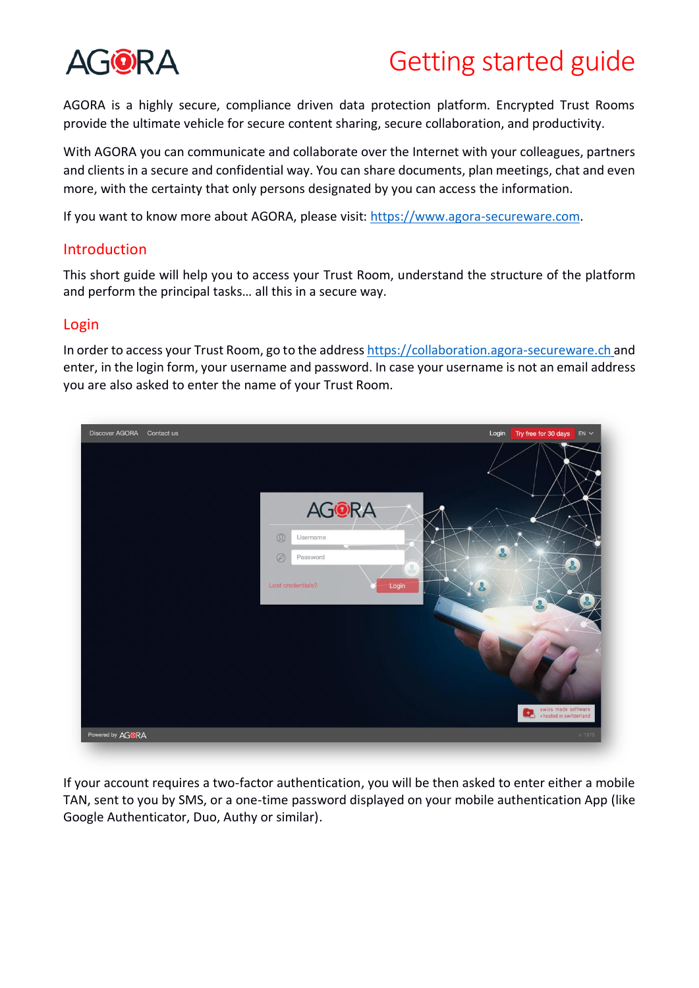

AGORA is a highly secure, compliance driven data protection platform. Encrypted Trust Rooms provide the ultimate vehicle for secure content sharing, secure collaboration, and productivity.

With AGORA you can communicate and collaborate over the Internet with your colleagues, partners and clients in a secure and confidential way. You can share documents, plan meetings, chat and even more, with the certainty that only persons designated by you can access the information.

If you want to know more about AGORA, please visit: [https://www.agora-secureware.com.](https://www.agora-secureware.com/)

### Introduction

This short guide will help you to access your Trust Room, understand the structure of the platform and perform the principal tasks… all this in a secure way.

#### Login

In order to access your Trust Room, go to the addres[s https://collaboration.agora-secureware.ch](https://collaboration.agora-secureware.ch/) and enter, in the login form, your username and password. In case your username is not an email address you are also asked to enter the name of your Trust Room.



If your account requires a two-factor authentication, you will be then asked to enter either a mobile TAN, sent to you by SMS, or a one-time password displayed on your mobile authentication App (like Google Authenticator, Duo, Authy or similar).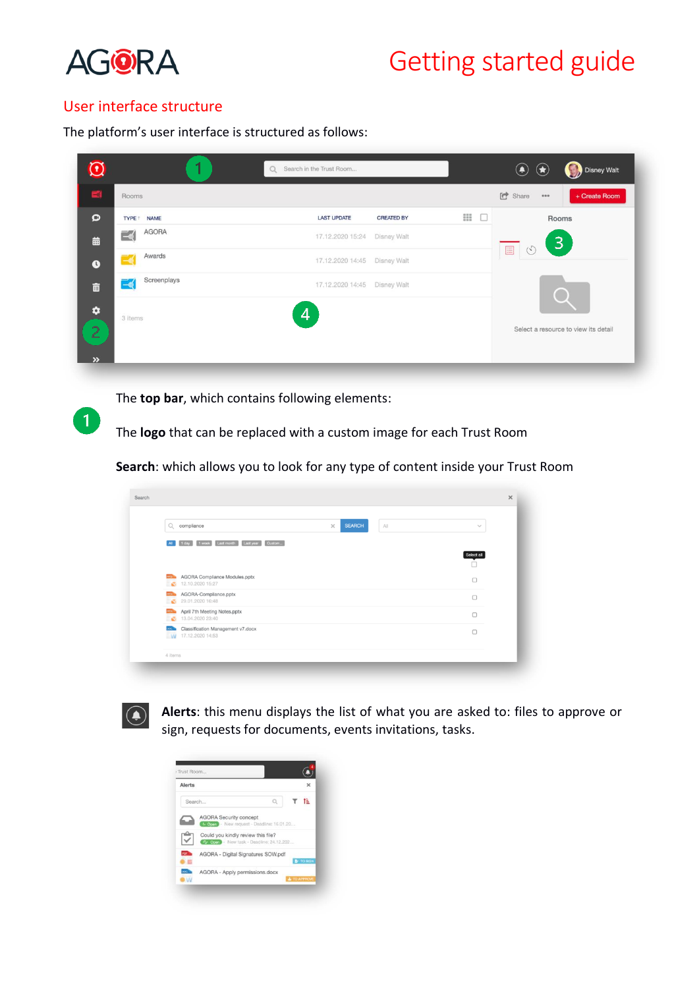

 $\blacktriangleleft$ 

# Getting started guide

### User interface structure

The platform's user interface is structured as follows:

|                                      | м                      | Q Search in the Trust Room |                    |     | ۰<br>$\circledast$<br>Disney Walt           |
|--------------------------------------|------------------------|----------------------------|--------------------|-----|---------------------------------------------|
| $-4$                                 | Rooms                  |                            |                    |     | C <sup>+</sup> Share<br>+ Create Room<br>$$ |
| $\Omega$                             | TYPE <sup>1</sup> NAME | <b>LAST UPDATE</b>         | <b>CREATED BY</b>  | Ⅲ □ | Rooms                                       |
| 曲                                    | AGORA<br>$\equiv$      | 17.12.2020 15:24           | Disney Walt        |     | $ 3\rangle$                                 |
| $\bullet$                            | Awards<br>≔ฮุ          | 17.12.2020 14:45           | Disney Walt        |     | $\boxed{\Xi}$<br>$\mathcal{N}$              |
| $\widehat{\mathbf{u}}$               | Screenplays<br>—త      | 17.12.2020 14:45           | <b>Disney Walt</b> |     |                                             |
| $\bullet$<br>D<br>┈<br>$\rightarrow$ | 3 items                | 4                          |                    |     | Select a resource to view its detail        |

The **top bar**, which contains following elements:

The **logo** that can be replaced with a custom image for each Trust Room

**Search**: which allows you to look for any type of content inside your Trust Room

| Q<br>compliance                                                          | <b>SEARCH</b><br>$\times$<br>A | $\checkmark$ |
|--------------------------------------------------------------------------|--------------------------------|--------------|
| Last month Last year Custom<br>1 day 1 week<br>AII                       |                                |              |
|                                                                          |                                | Select all   |
| AGORA Compliance Modules.pptx<br>PPT).<br>12.10.2020 15:27<br>×          |                                | $\Box$       |
| AGORA-Compliance.pptx<br><b>PPD</b><br>29.01.2020 16:48<br><b>SC</b>     |                                | $\Box$       |
| <b>REAL</b> April 7th Meeting Notes.pptx<br>13.04.2020 23:40<br><b>N</b> |                                | $\Box$       |
| classification Management v7.docx<br>W 17.12.2020 14:53                  |                                | $\Box$       |



**Alerts**: this menu displays the list of what you are asked to: files to approve or sign, requests for documents, events invitations, tasks.

| Alerts    |                                                                                   |                         |                  |
|-----------|-----------------------------------------------------------------------------------|-------------------------|------------------|
| Search    |                                                                                   |                         | tä.              |
|           | <b>AGORA Security concept</b><br>Com - New request - Deadline: 16.01.20           |                         |                  |
|           | Could you kindly review this file?<br>4. October - New task - Deadline: 24.12.202 |                         |                  |
| POF.      | AGORA - Digital Signatures SOW.pdf                                                |                         | <b>B</b> TO SIGN |
| poc.<br>M | AGORA - Apply permissions.docx                                                    | <b>&amp; TO APPROVE</b> |                  |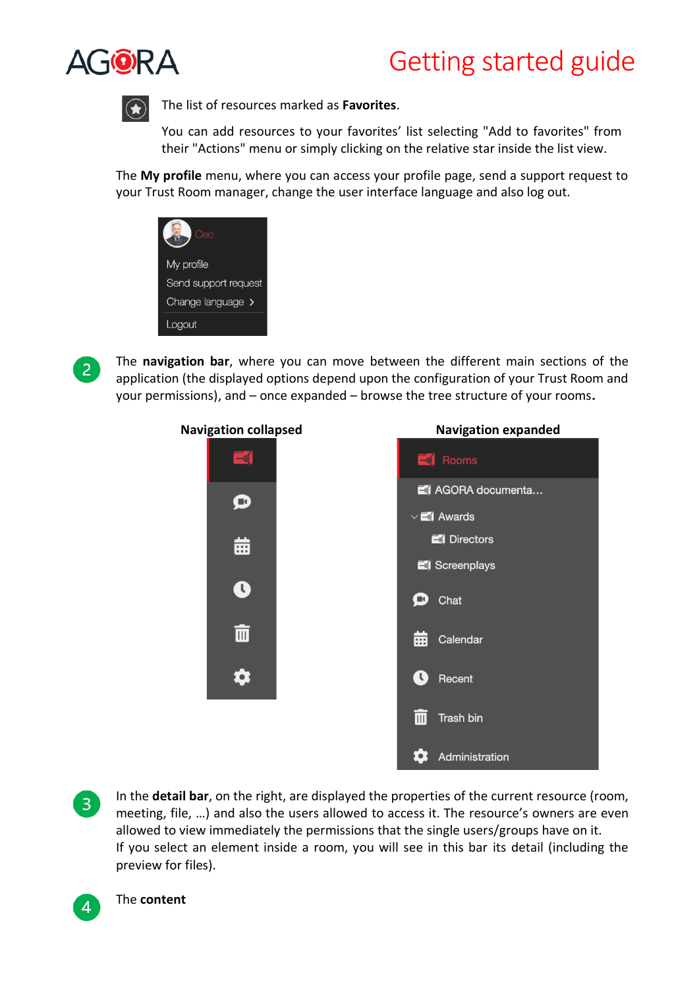



The list of resources marked as **Favorites**.

You can add resources to your favorites' list selecting "Add to favorites" from their "Actions" menu or simply clicking on the relative star inside the list view.

The **My profile** menu, where you can access your profile page, send a support request to your Trust Room manager, change the user interface language and also log out.

| æa                   |
|----------------------|
| My profile           |
| Send support request |
| Change language >    |
| Logout               |



The **navigation bar**, where you can move between the different main sections of the application (the displayed options depend upon the configuration of your Trust Room and your permissions), and – once expanded – browse the tree structure of your rooms**.**



In the **detail bar**, on the right, are displayed the properties of the current resource (room, meeting, file, …) and also the users allowed to access it. The resource's owners are even allowed to view immediately the permissions that the single users/groups have on it. If you select an element inside a room, you will see in this bar its detail (including the preview for files).



 $\overline{3}$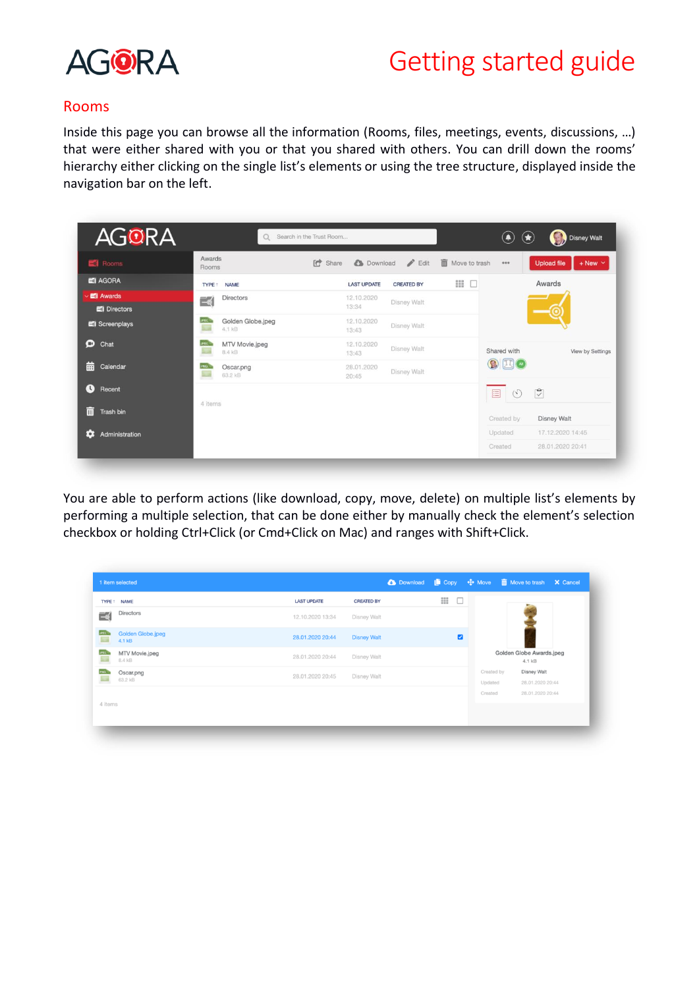

#### Rooms

Inside this page you can browse all the information (Rooms, files, meetings, events, discussions, …) that were either shared with you or that you shared with others. You can drill down the rooms' hierarchy either clicking on the single list's elements or using the tree structure, displayed inside the navigation bar on the left.

| <b>AGORA</b>                 | Q                                                        | Search in the Trust Room                | ۰                                                             | Disney Walt<br>$\circledast$         |
|------------------------------|----------------------------------------------------------|-----------------------------------------|---------------------------------------------------------------|--------------------------------------|
| Rooms                        | Awards<br>Rooms                                          | <b>C</b> Share<br><b>C</b> Download     | <b>III</b> Move to trash<br>$\blacktriangleright$ Edit<br>000 | $+$ New $\vee$<br><b>Upload file</b> |
| <b>E1 AGORA</b>              | <b>NAME</b><br><b>TYPE</b>                               | <b>LAST UPDATE</b><br><b>CREATED BY</b> | =<br>$\Box$                                                   | Awards                               |
| <b>E</b> Awards<br>Directors | <b>Directors</b><br>∃ৰ্                                  | 12.10.2020<br>Disney Walt<br>13:34      |                                                               |                                      |
| Screenplays                  | <b>JPEC</b><br>Golden Globe.jpeg<br><b>Sea</b><br>4.1 kB | 12.10.2020<br>Disney Walt<br>13:43      |                                                               |                                      |
| $\bullet$<br>Chat            | <b>JPEC</b><br>MTV Movie.jpeg<br><b>Signal</b><br>8.4 kB | 12.10.2020<br>Disney Walt<br>13:43      | Shared with                                                   | View by Settings                     |
| 曲<br>Calendar                | Oscar.png<br>63.2 kB                                     | 28.01.2020<br>Disney Walt<br>20:45      | $\Omega$                                                      |                                      |
| $\mathbf{\Omega}$<br>Recent  |                                                          |                                         | $\mathcal{C}$<br>E                                            | $\overline{\mathbb{C}}$              |
| 而<br>Trash bin               | 4 items                                                  |                                         | Created by                                                    | <b>Disney Walt</b>                   |
| Administration<br>æ          |                                                          |                                         | Updated                                                       | 17.12.2020 14:45                     |
|                              |                                                          |                                         | Created                                                       | 28.01.2020 20:41                     |

You are able to perform actions (like download, copy, move, delete) on multiple list's elements by performing a multiple selection, that can be done either by manually check the element's selection checkbox or holding Ctrl+Click (or Cmd+Click on Mac) and ranges with Shift+Click.

| Directors<br>∃≼<br>Disney Walt<br>12.10.2020 13:34<br><b>JPEC</b><br>Golden Globe.jpeg<br>Z<br>28.01.2020 20:44<br><b>Disney Walt</b><br>$\mathbb{R}$<br>4.1 kB<br><b>JPEC</b><br>Golden Globe Awards.jpeg<br>MTV Movie.jpeg<br>28.01.2020 20:44<br>Disney Walt<br>$\overline{\mathbb{Z}}$<br>8.4 kB<br>4.1 kB<br>PNG<br><b>Disney Walt</b><br>Created by<br>Oscar.png<br>28.01.2020 20:45<br>Disney Walt<br>$\mathbb{Z}$<br>63.2 kB<br>Updated<br>28.01.2020 20:44 | <b>LAST UPDATE</b> | <b>CREATED BY</b> | $\mathbf{H}$<br>$\Box$ |  |
|---------------------------------------------------------------------------------------------------------------------------------------------------------------------------------------------------------------------------------------------------------------------------------------------------------------------------------------------------------------------------------------------------------------------------------------------------------------------|--------------------|-------------------|------------------------|--|
|                                                                                                                                                                                                                                                                                                                                                                                                                                                                     |                    |                   |                        |  |
|                                                                                                                                                                                                                                                                                                                                                                                                                                                                     |                    |                   |                        |  |
|                                                                                                                                                                                                                                                                                                                                                                                                                                                                     |                    |                   |                        |  |
|                                                                                                                                                                                                                                                                                                                                                                                                                                                                     |                    |                   |                        |  |
| Created<br>28.01.2020 20:44<br>4 items                                                                                                                                                                                                                                                                                                                                                                                                                              |                    |                   |                        |  |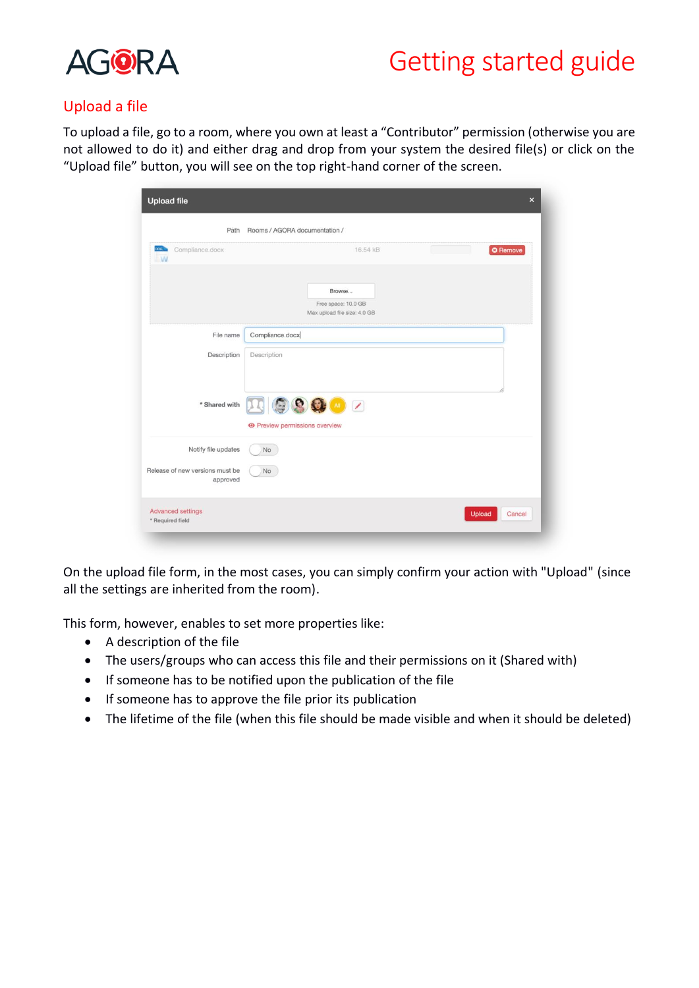

### Upload a file

To upload a file, go to a room, where you own at least a "Contributor" permission (otherwise you are not allowed to do it) and either drag and drop from your system the desired file(s) or click on the "Upload file" button, you will see on the top right-hand corner of the screen.

| pod 3<br>Compliance.docx<br><b>LW</b> | 16.54 kB<br><b>O</b> Remove                                   |  |
|---------------------------------------|---------------------------------------------------------------|--|
|                                       | Browse<br>Free space: 10.0 GB<br>Max upload file size: 4.0 GB |  |
| File name                             | Compliance.docx                                               |  |
| Description                           | Description                                                   |  |
| * Shared with                         | 200000<br><b>O</b> Preview permissions overview               |  |
|                                       |                                                               |  |
| Notify file updates                   | No                                                            |  |

On the upload file form, in the most cases, you can simply confirm your action with "Upload" (since all the settings are inherited from the room).

This form, however, enables to set more properties like:

- A description of the file
- The users/groups who can access this file and their permissions on it (Shared with)
- If someone has to be notified upon the publication of the file
- If someone has to approve the file prior its publication
- The lifetime of the file (when this file should be made visible and when it should be deleted)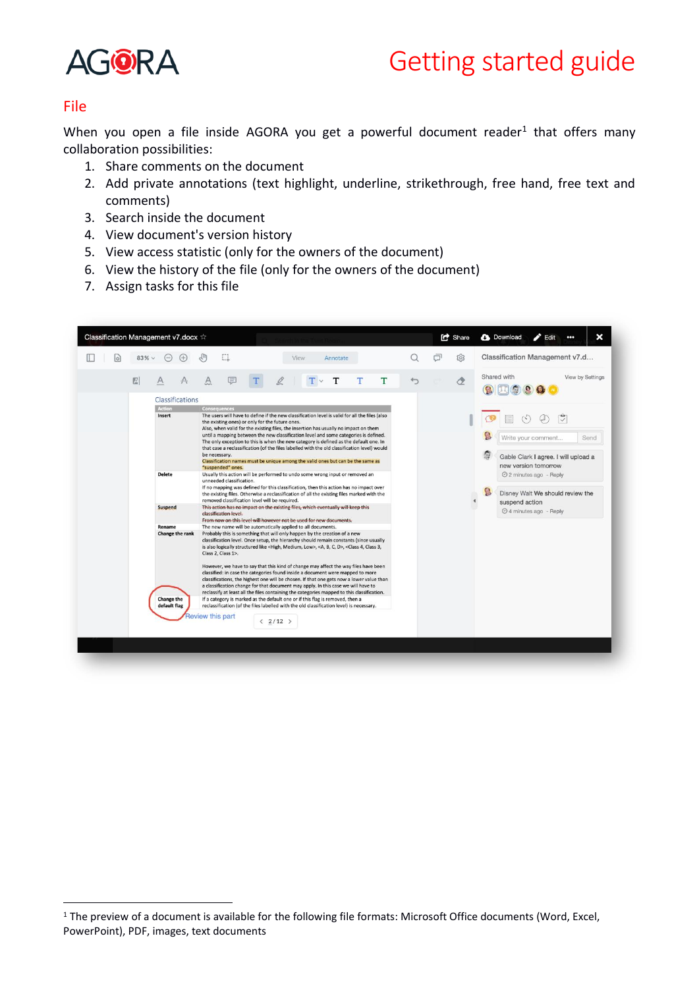

### File

When you open a file inside AGORA you get a powerful document reader<sup>1</sup> that offers many collaboration possibilities:

- 1. Share comments on the document
- 2. Add private annotations (text highlight, underline, strikethrough, free hand, free text and comments)
- 3. Search inside the document
- 4. View document's version history
- 5. View access statistic (only for the owners of the document)
- 6. View the history of the file (only for the owners of the document)
- 7. Assign tasks for this file



<sup>&</sup>lt;sup>1</sup> The preview of a document is available for the following file formats: Microsoft Office documents (Word, Excel, PowerPoint), PDF, images, text documents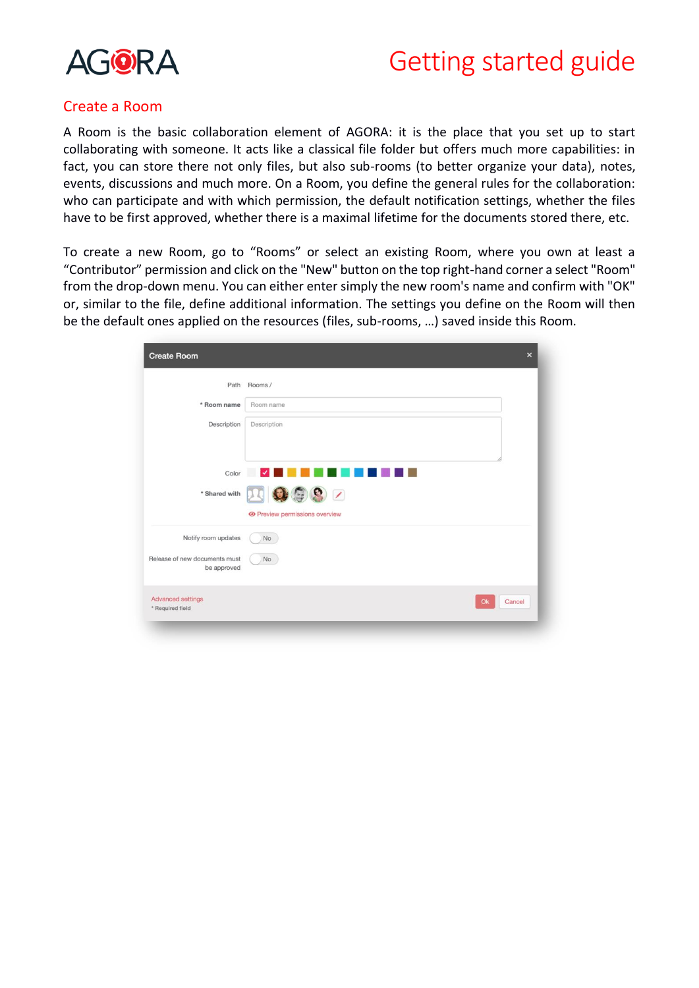

### Create a Room

A Room is the basic collaboration element of AGORA: it is the place that you set up to start collaborating with someone. It acts like a classical file folder but offers much more capabilities: in fact, you can store there not only files, but also sub-rooms (to better organize your data), notes, events, discussions and much more. On a Room, you define the general rules for the collaboration: who can participate and with which permission, the default notification settings, whether the files have to be first approved, whether there is a maximal lifetime for the documents stored there, etc.

To create a new Room, go to "Rooms" or select an existing Room, where you own at least a "Contributor" permission and click on the "New" button on the top right-hand corner a select "Room" from the drop-down menu. You can either enter simply the new room's name and confirm with "OK" or, similar to the file, define additional information. The settings you define on the Room will then be the default ones applied on the resources (files, sub-rooms, …) saved inside this Room.

| <b>Create Room</b>                           | $\times$                                       |
|----------------------------------------------|------------------------------------------------|
| Path                                         | Rooms /                                        |
| * Room name                                  | Room name                                      |
| Description                                  | Description                                    |
|                                              | Color V<br>n de la T<br>. .<br>HH 1<br>u n     |
| * Shared with                                | 四0992<br><b>O</b> Preview permissions overview |
| Notify room updates                          | No                                             |
| Release of new documents must<br>be approved | No                                             |
| Advanced settings<br>* Required field        | Ok<br>Cancel                                   |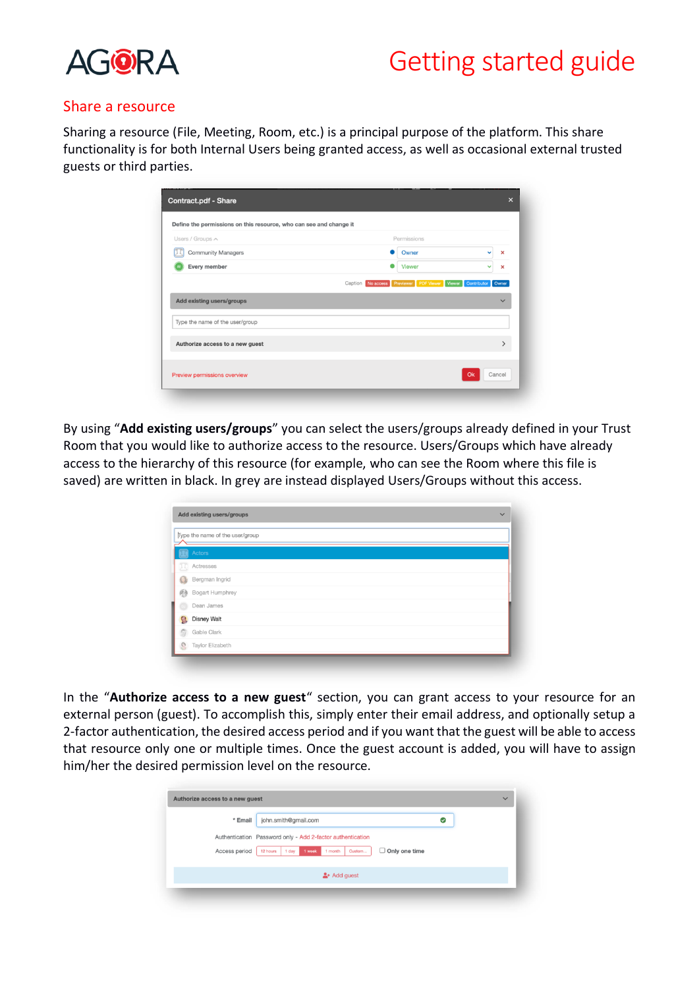

#### Share a resource

Sharing a resource (File, Meeting, Room, etc.) is a principal purpose of the platform. This share functionality is for both Internal Users being granted access, as well as occasional external trusted guests or third parties.

| Owner         | $\boldsymbol{\mathsf{x}}$<br>$\checkmark$                       |
|---------------|-----------------------------------------------------------------|
|               |                                                                 |
| <b>Viewer</b> | v<br>$\boldsymbol{\mathsf{x}}$                                  |
|               |                                                                 |
|               |                                                                 |
|               | Caption No access Previewer PDF Viewer Viewer Contributor Owner |

By using "**Add existing users/groups**" you can select the users/groups already defined in your Trust Room that you would like to authorize access to the resource. Users/Groups which have already access to the hierarchy of this resource (for example, who can see the Room where this file is saved) are written in black. In grey are instead displayed Users/Groups without this access.

| Type the name of the user/group |                    |  |  |  |  |
|---------------------------------|--------------------|--|--|--|--|
|                                 | Actors             |  |  |  |  |
| Œ                               | Actresses          |  |  |  |  |
| a                               | Bergman Ingrid     |  |  |  |  |
| 图                               | Bogart Humphrey    |  |  |  |  |
|                                 | Dean James         |  |  |  |  |
| 9                               | <b>Disney Walt</b> |  |  |  |  |
| Ō                               | Gable Clark        |  |  |  |  |
| Ø                               | Taylor Elizabeth   |  |  |  |  |

In the "**Authorize access to a new guest**" section, you can grant access to your resource for an external person (guest). To accomplish this, simply enter their email address, and optionally setup a 2-factor authentication, the desired access period and if you want that the guest will be able to access that resource only one or multiple times. Once the guest account is added, you will have to assign him/her the desired permission level on the resource.

| * Email       | john.smith@gmail.com                                                     | $\sim$ |
|---------------|--------------------------------------------------------------------------|--------|
|               | Authentication Password only - Add 2-factor authentication               |        |
| Access period | $\Box$ Only one time<br>1 week<br>Custom<br>1 day<br>1 month<br>12 hours |        |
|               | $2 +$ Add guest                                                          |        |